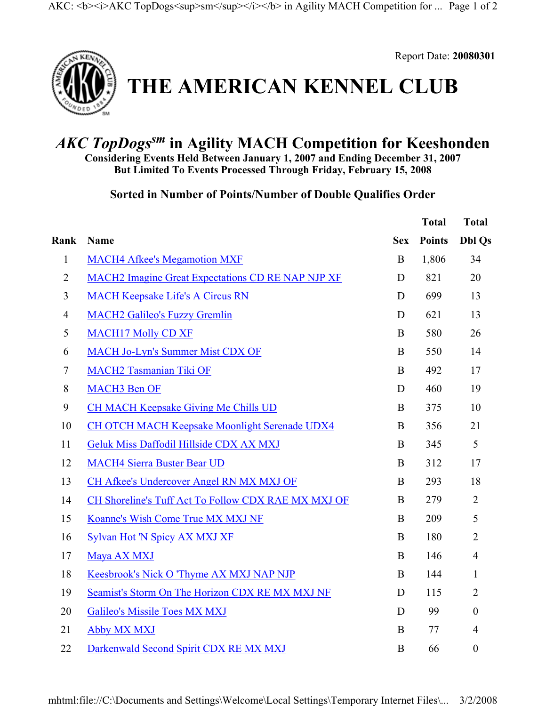

Report Date: **20080301**

## **THE AMERICAN KENNEL CLUB**

## *AKC TopDogssm* **in Agility MACH Competition for Keeshonden**

**Considering Events Held Between January 1, 2007 and Ending December 31, 2007 But Limited To Events Processed Through Friday, February 15, 2008**

**Sorted in Number of Points/Number of Double Qualifies Order** 

|                |                                                          |            | <b>Total</b>  | <b>Total</b>     |
|----------------|----------------------------------------------------------|------------|---------------|------------------|
| Rank           | Name                                                     | <b>Sex</b> | <b>Points</b> | <b>Dbl Qs</b>    |
| $\mathbf{1}$   | <b>MACH4 Afkee's Megamotion MXF</b>                      | $\bf{B}$   | 1,806         | 34               |
| $\overline{2}$ | <b>MACH2</b> Imagine Great Expectations CD RE NAP NJP XF | D          | 821           | 20               |
| 3              | <b>MACH Keepsake Life's A Circus RN</b>                  | D          | 699           | 13               |
| 4              | <b>MACH2 Galileo's Fuzzy Gremlin</b>                     | D          | 621           | 13               |
| 5              | <b>MACH17 Molly CD XF</b>                                | B          | 580           | 26               |
| 6              | <b>MACH Jo-Lyn's Summer Mist CDX OF</b>                  | B          | 550           | 14               |
| $\tau$         | <b>MACH2 Tasmanian Tiki OF</b>                           | $\bf{B}$   | 492           | 17               |
| 8              | <b>MACH3</b> Ben OF                                      | D          | 460           | 19               |
| 9              | <b>CH MACH Keepsake Giving Me Chills UD</b>              | $\bf{B}$   | 375           | 10               |
| 10             | <b>CH OTCH MACH Keepsake Moonlight Serenade UDX4</b>     | $\bf{B}$   | 356           | 21               |
| 11             | Geluk Miss Daffodil Hillside CDX AX MXJ                  | B          | 345           | 5                |
| 12             | <b>MACH4 Sierra Buster Bear UD</b>                       | B          | 312           | 17               |
| 13             | CH Afkee's Undercover Angel RN MX MXJ OF                 | $\bf{B}$   | 293           | 18               |
| 14             | CH Shoreline's Tuff Act To Follow CDX RAE MX MXJ OF      | $\bf{B}$   | 279           | $\overline{2}$   |
| 15             | Koanne's Wish Come True MX MXJ NF                        | $\bf{B}$   | 209           | 5                |
| 16             | Sylvan Hot 'N Spicy AX MXJ XF                            | $\bf{B}$   | 180           | $\overline{2}$   |
| 17             | Maya AX MXJ                                              | B          | 146           | $\overline{4}$   |
| 18             | Keesbrook's Nick O 'Thyme AX MXJ NAP NJP                 | $\bf{B}$   | 144           | $\mathbf{1}$     |
| 19             | Seamist's Storm On The Horizon CDX RE MX MXJ NF          | D          | 115           | $\overline{2}$   |
| 20             | <b>Galileo's Missile Toes MX MXJ</b>                     | D          | 99            | $\mathbf{0}$     |
| 21             | <b>Abby MX MXJ</b>                                       | $\bf{B}$   | 77            | $\overline{4}$   |
| 22             | Darkenwald Second Spirit CDX RE MX MXJ                   | B          | 66            | $\boldsymbol{0}$ |